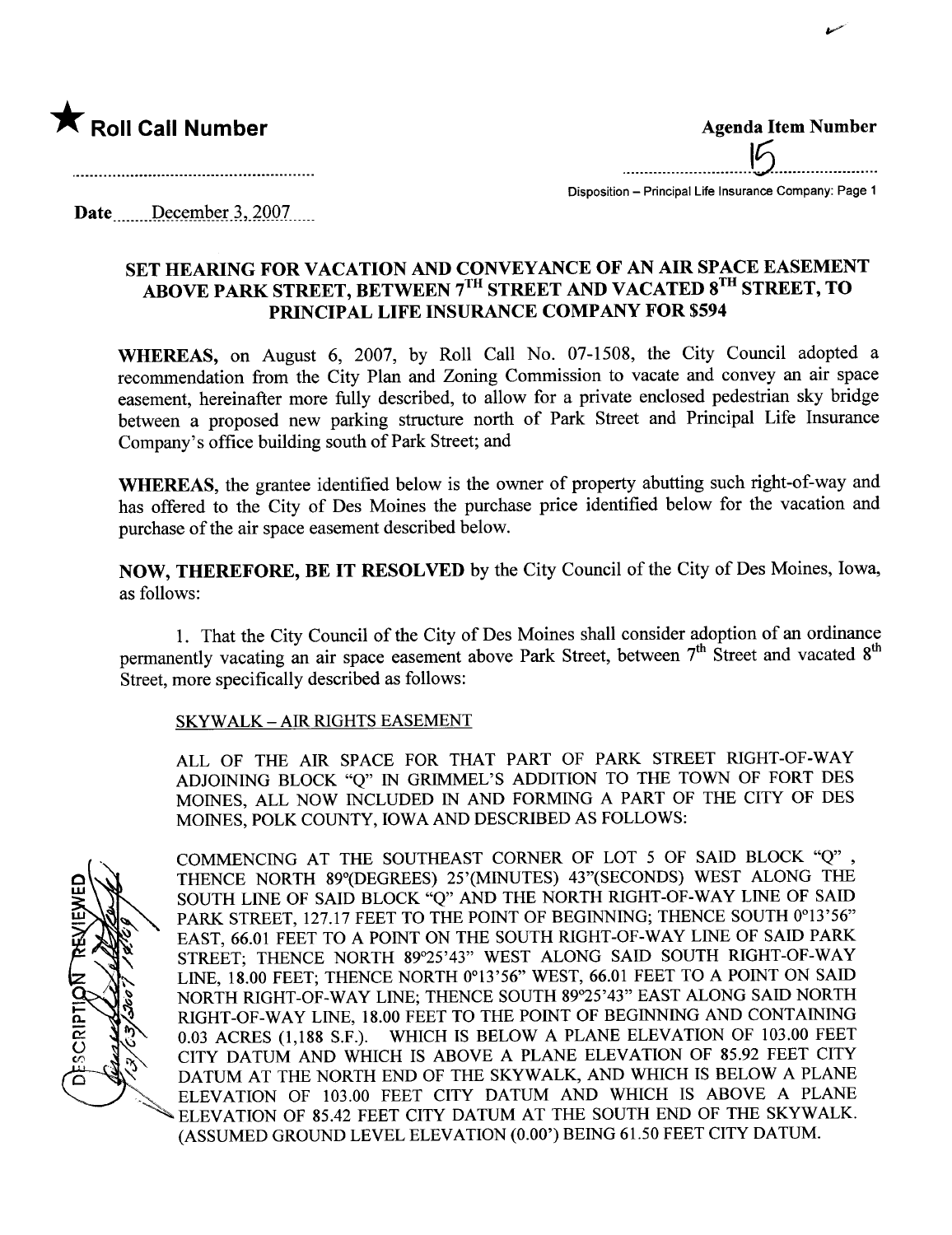

.............................15.......................

v

Disposition - Principal Life Insurance Company: Page 1

Date  $\qquad$  December 3, 2007

## SET HEARING FOR VACATION AND CONVEYANCE OF AN AIR SPACE EASEMENT ABOVE PARK STREET, BETWEEN 7'" STREET AND VACATED 8'" STREET, TO PRINCIPAL LIFE INSURANCE COMPANY FOR \$594

WHEREAS, on August 6, 2007, by Roll Call No. 07-1508, the City Council adopted a recommendation from the City Plan and Zoning Commission to vacate and convey an air space easement, hereinafter more fully described, to allow for a private enclosed pedestrian sky bridge between a proposed new parking structure north of Park Street and Principal Life Insurance Company's office building south of Park Street; and

WHEREAS, the grantee identified below is the owner of property abutting such right-of-way and has offered to the City of Des Moines the purchase price identified below for the vacation and purchase of the air space easement described below.

NOW, THEREFORE, BE IT RESOLVED by the City Council of the City of Des Moines, Iowa, as follows:

1. That the City Council of the City of Des Moines shall consider adoption of an ordinance permanently vacating an air space easement above Park Street, between 7<sup>th</sup> Street and vacated 8<sup>th</sup> Street, more specifically described as follows:

## SKYWALK - AIR RIGHTS EASEMENT

ALL OF THE AIR SPACE FOR THAT PART OF PARK STREET RIGHT-OF-WAY ADJOINING BLOCK "Q" IN GRIMEL'S ADDITION TO THE TOWN OF FORT DES MOINES, ALL NOW INCLUDED IN AND FORMING A PART OF THE CITY OF DES MOINES, POLK COUNTY, IOWA AND DESCRIBED AS FOLLOWS:

SCRIPTIO

COMMENCING AT THE SOUTHEAST CORNER OF LOT 5 OF SAID BLOCK "Q" , THENCE NORTH 89°(DEGREES) 25'(MINTES) 43"(SECONDS) WEST ALONG THE SOUTH LINE OF SAID BLOCK "Q" AND THE NORTH RIGHT-OF-WAY LINE OF SAID PARK STREET, 127.17 FEET TO THE POINT OF BEGINNING; THENCE SOUTH 0°13'56" EAST, 66.01 FEET TO A POINT ON THE SOUTH RIGHT-OF-WAY LINE OF SAID PARK STREET; THENCE NORTH 89°25'43" WEST ALONG SAID SOUTH RIGHT-OF-WAY LINE, 18.00 FEET; THENCE NORTH 0°13'56" WEST, 66.01 FEET TO A POINT ON SAID NORTH RIGHT-OF-WAY LINE; THENCE SOUTH 89°25'43" EAST ALONG SAID NORTH RIGHT-OF-WAY LINE, 18.00 FEET TO THE POINT OF BEGINNING AND CONTAINING 0.03 ACRES (1,188 S.F.). WHICH IS BELOW A PLANE ELEVATION OF 103.00 FEET CITY DATUM AND WHICH IS ABOVE A PLANE ELEVATION OF 85.92 FEET CITY DATUM AT THE NORTH END OF THE SKYWALK, AND WHICH IS BELOW A PLANE '. ELEVATION OF 103.00 FEET CITY DATUM AND WHICH IS ABOVE A PLANE 'ELEVATION OF 85.42 FEET CITY DATUM AT THE SOUTH END OF THE SKYWALK. (ASSUMED GROUND LEVEL ELEVATION (0.00') BEING 61.50 FEET CITY DATUM.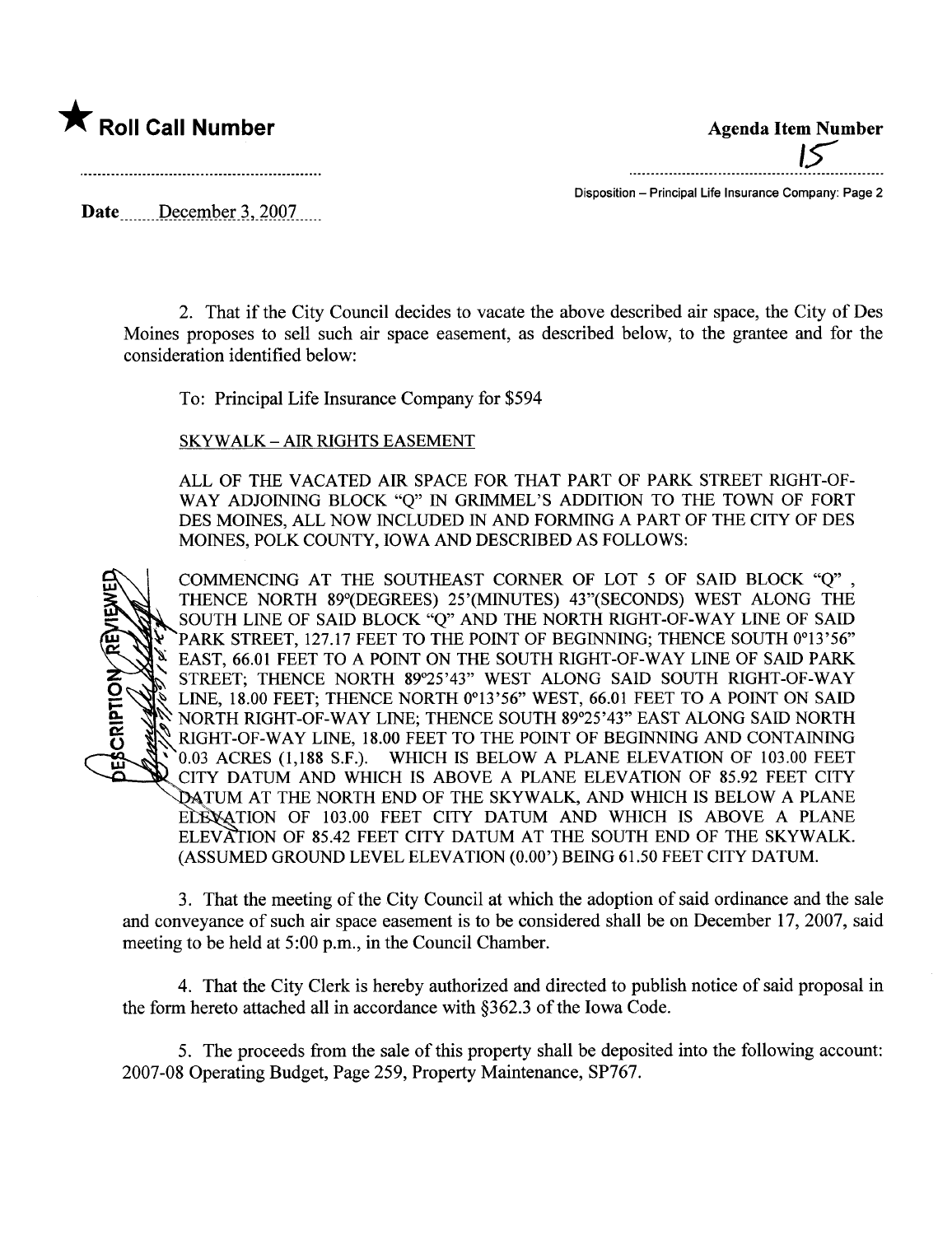

 $5<sub>15</sub>$ 

Date December  $3,2007$ ....

Disposition - Principal Life Insurance Company: Page 2

2. That if the City Council decides to vacate the above described air space, the City of Des Moines proposes to sell such air space easement, as described below, to the grantee and for the consideration identified below:

To: Principal Life Insurance Company for \$594

SKYWALK - AIR RIGHTS EASEMENT

ALL OF THE VACATED AIR SPACE FOR THAT PART OF PARK STREET RIGHT-OF-WAY ADJOINING BLOCK "Q" IN GRIMEL'S ADDITION TO THE TOWN OF FORT DES MOINES, ALL NOW INCLUDED IN AND FORMING A PART OF THE CITY OF DES MOINES, POLK COUNTY, IOWA AND DESCRIBED AS FOLLOWS:



COMMENCING AT THE SOUTHEAST CORNER OF LOT 5 OF SAID BLOCK "Q" , THENCE NORTH 89°(DEGREES) 25'(MINUTES) 43"(SECONDS) WEST ALONG THE SOUTH LINE OF SAID BLOCK "Q" AND THE NORTH RIGHT-OF-WAY LINE OF SAID PARK STREET, 127.17 FEET TO THE POINT OF BEGINNING; THENCE SOUTH 0°13'56" EAST, 66.01 FEET TO A POINT ON THE SOUTH RIGHT-OF-WAY LINE OF SAID PARK STREET; THENCE NORTH 89°25'43" WEST ALONG SAID SOUTH RIGHT-OF-WAY LINE, 18.00 FEET; THENCE NORTH 0°13'56" WEST, 66.01 FEET TO A POINT ON SAID ~ NORTH RIGHT-OF-WAY LINE; THENCE SOUTH 89°25'43" EAST ALONG SAID NORTH ~ RIGHT-OF-WAY LINE, 18.00 FEET TO THE POINT OF BEGINING AND CONTAINING , 0.03 ACRES (1,188 S.F.). WHICH IS BELOW A PLANE ELEVATION OF 103.00 FEET CITY DATUM AND WHICH IS ABOVE A PLANE ELEVATION OF 85.92 FEET CITY DATUM AT THE NORTH END OF THE SKYWALK, AND WHICH IS BELOW A PLANE ECENATION OF 103.00 FEET CITY DATUM AND WHICH IS ABOVE A PLANE ELEVATION OF 85.42 FEET CITY DATUM AT THE SOUTH END OF THE SKYWALK. (ASSUMED GROUND LEVEL ELEVATION (0.00') BEING 61.50 FEET CITY DATUM.

3. That the meeting of the City Council at which the adoption of said ordinance and the sale and conveyance of such air space easement is to be considered shall be on December 17, 2007, said meeting to be held at 5:00 p.m., in the Council Chamber.

4. That the City Clerk is hereby authorized and directed to publish notice of said proposal in the form hereto attached all in accordance with §362.3 of the Iowa Code.

5. The proceeds from the sale of this property shall be deposited into the following account: 2007-08 Operating Budget, Page 259, Property Maintenance, SP767.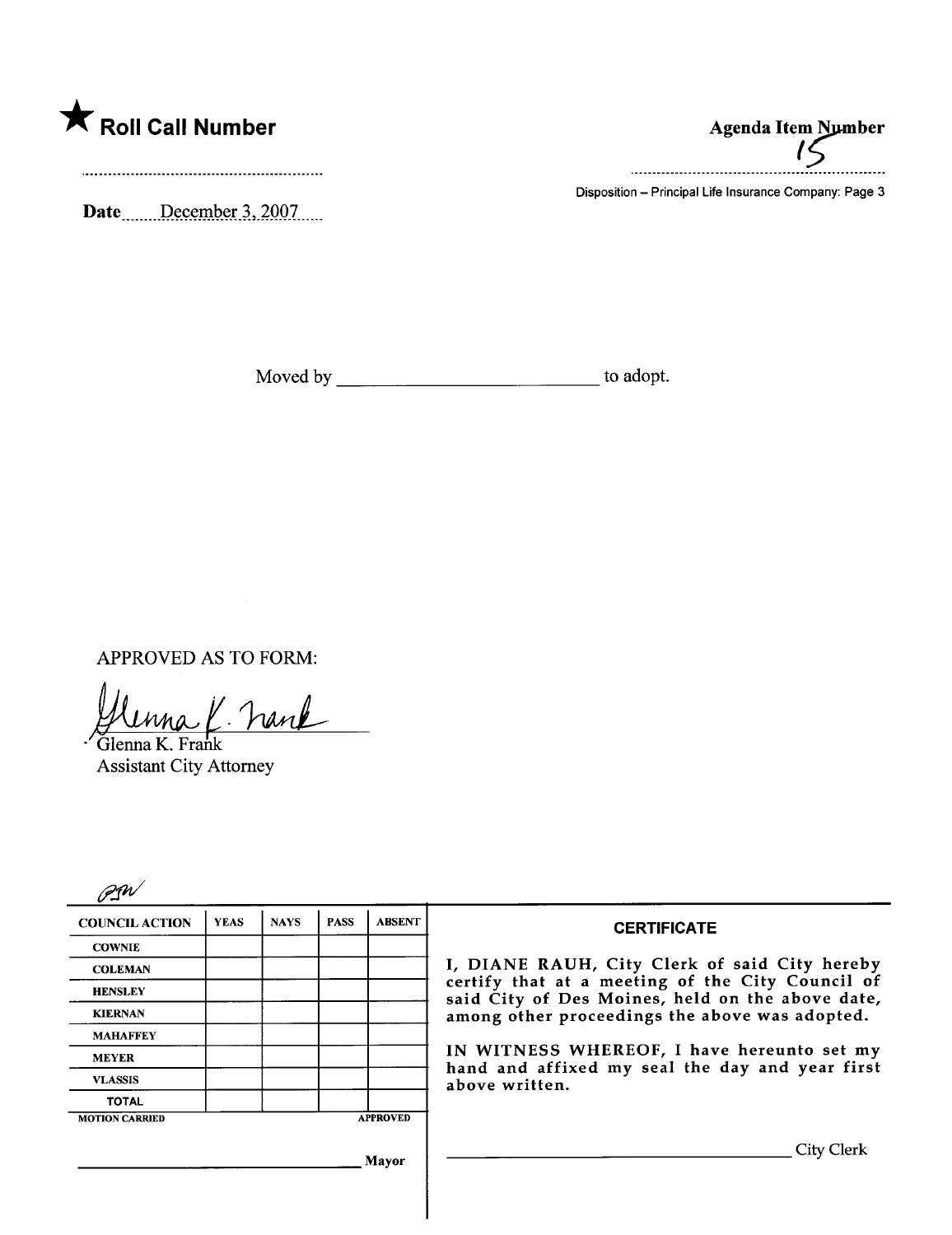

Date December 3, 2007

**Agenda Item Number** 

Disposition - Principal Life Insurance Company: Page 3

APPROVED AS TO FORM:

una K. Frank

Glenna K. Frank **Assistant City Attorney** 

| <b>COUNCIL ACTION</b> | <b>YEAS</b> | <b>NAYS</b> | <b>PASS</b> | <b>ABSENT</b>   | <b>CERTIFICATE</b>                                                                                                                                                                                                                                                                                                         |
|-----------------------|-------------|-------------|-------------|-----------------|----------------------------------------------------------------------------------------------------------------------------------------------------------------------------------------------------------------------------------------------------------------------------------------------------------------------------|
| <b>COWNIE</b>         |             |             |             |                 |                                                                                                                                                                                                                                                                                                                            |
| <b>COLEMAN</b>        |             |             |             |                 | I, DIANE RAUH, City Clerk of said City hereby<br>certify that at a meeting of the City Council of<br>said City of Des Moines, held on the above date,<br>among other proceedings the above was adopted.<br>IN WITNESS WHEREOF, I have hereunto set my<br>hand and affixed my seal the day and year first<br>above written. |
| <b>HENSLEY</b>        |             |             |             |                 |                                                                                                                                                                                                                                                                                                                            |
| <b>KIERNAN</b>        |             |             |             |                 |                                                                                                                                                                                                                                                                                                                            |
| <b>MAHAFFEY</b>       |             |             |             |                 |                                                                                                                                                                                                                                                                                                                            |
| <b>MEYER</b>          |             |             |             |                 |                                                                                                                                                                                                                                                                                                                            |
| <b>VLASSIS</b>        |             |             |             |                 |                                                                                                                                                                                                                                                                                                                            |
| <b>TOTAL</b>          |             |             |             |                 |                                                                                                                                                                                                                                                                                                                            |
| <b>MOTION CARRIED</b> |             |             |             | <b>APPROVED</b> |                                                                                                                                                                                                                                                                                                                            |
| Mayor                 |             |             |             |                 | City Clerk                                                                                                                                                                                                                                                                                                                 |